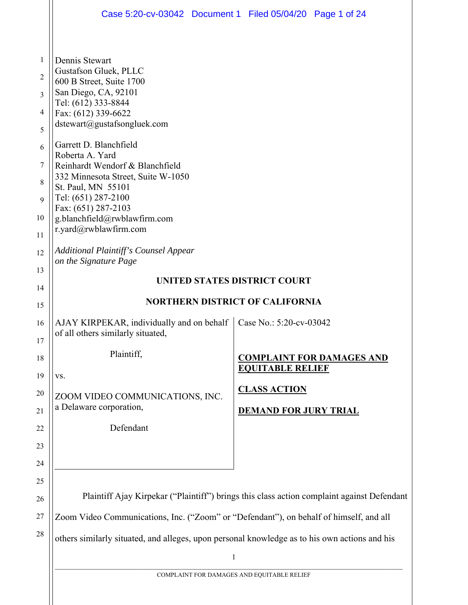|                                                       | Case 5:20-cv-03042 Document 1 Filed 05/04/20 Page 1 of 24                                                                                                                                                                                                                                                                                                                                                                   |                                                     |                                  |
|-------------------------------------------------------|-----------------------------------------------------------------------------------------------------------------------------------------------------------------------------------------------------------------------------------------------------------------------------------------------------------------------------------------------------------------------------------------------------------------------------|-----------------------------------------------------|----------------------------------|
| 1<br>2<br>3<br>4<br>5<br>6<br>7<br>8<br>9<br>10<br>11 | Dennis Stewart<br>Gustafson Gluek, PLLC<br>600 B Street, Suite 1700<br>San Diego, CA, 92101<br>Tel: (612) 333-8844<br>Fax: (612) 339-6622<br>dstewart@gustafsongluek.com<br>Garrett D. Blanchfield<br>Roberta A. Yard<br>Reinhardt Wendorf & Blanchfield<br>332 Minnesota Street, Suite W-1050<br>St. Paul, MN 55101<br>Tel: (651) 287-2100<br>Fax: (651) 287-2103<br>g.blanchfield@rwblawfirm.com<br>r.yard@rwblawfirm.com |                                                     |                                  |
| 12<br>13<br>14                                        | <b>Additional Plaintiff's Counsel Appear</b><br>on the Signature Page<br>UNITED STATES DISTRICT COURT                                                                                                                                                                                                                                                                                                                       |                                                     |                                  |
| 15                                                    | <b>NORTHERN DISTRICT OF CALIFORNIA</b>                                                                                                                                                                                                                                                                                                                                                                                      |                                                     |                                  |
| 16<br>17                                              | AJAY KIRPEKAR, individually and on behalf<br>of all others similarly situated,                                                                                                                                                                                                                                                                                                                                              | Case No.: 5:20-cv-03042                             |                                  |
| 18<br>19                                              | Plaintiff,<br>VS.                                                                                                                                                                                                                                                                                                                                                                                                           | <b>EQUITABLE RELIEF</b>                             | <b>COMPLAINT FOR DAMAGES AND</b> |
| 20<br>21                                              | ZOOM VIDEO COMMUNICATIONS, INC.<br>a Delaware corporation,                                                                                                                                                                                                                                                                                                                                                                  | <b>CLASS ACTION</b><br><b>DEMAND FOR JURY TRIAL</b> |                                  |
| 22                                                    | Defendant                                                                                                                                                                                                                                                                                                                                                                                                                   |                                                     |                                  |
| 23                                                    |                                                                                                                                                                                                                                                                                                                                                                                                                             |                                                     |                                  |
| 24                                                    |                                                                                                                                                                                                                                                                                                                                                                                                                             |                                                     |                                  |
| 25<br>26                                              | Plaintiff Ajay Kirpekar ("Plaintiff") brings this class action complaint against Defendant                                                                                                                                                                                                                                                                                                                                  |                                                     |                                  |
| 27                                                    | Zoom Video Communications, Inc. ("Zoom" or "Defendant"), on behalf of himself, and all                                                                                                                                                                                                                                                                                                                                      |                                                     |                                  |
| 28                                                    | others similarly situated, and alleges, upon personal knowledge as to his own actions and his                                                                                                                                                                                                                                                                                                                               |                                                     |                                  |
|                                                       | $\mathbf{1}$                                                                                                                                                                                                                                                                                                                                                                                                                |                                                     |                                  |
|                                                       | COMPLAINT FOR DAMAGES AND FOUTTABLE RELIEF                                                                                                                                                                                                                                                                                                                                                                                  |                                                     |                                  |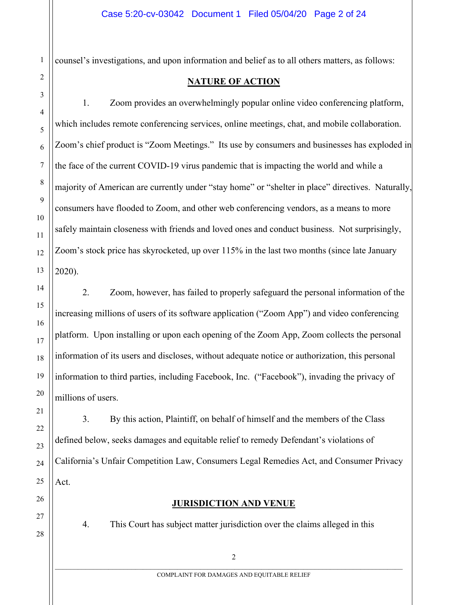counsel's investigations, and upon information and belief as to all others matters, as follows:

1. Zoom provides an overwhelmingly popular online video conferencing platform, which includes remote conferencing services, online meetings, chat, and mobile collaboration. Zoom's chief product is "Zoom Meetings." Its use by consumers and businesses has exploded in the face of the current COVID-19 virus pandemic that is impacting the world and while a majority of American are currently under "stay home" or "shelter in place" directives. Naturally, consumers have flooded to Zoom, and other web conferencing vendors, as a means to more safely maintain closeness with friends and loved ones and conduct business. Not surprisingly, Zoom's stock price has skyrocketed, up over 115% in the last two months (since late January 2020).

2. Zoom, however, has failed to properly safeguard the personal information of the increasing millions of users of its software application ("Zoom App") and video conferencing platform. Upon installing or upon each opening of the Zoom App, Zoom collects the personal information of its users and discloses, without adequate notice or authorization, this personal information to third parties, including Facebook, Inc. ("Facebook"), invading the privacy of millions of users.

3. By this action, Plaintiff, on behalf of himself and the members of the Class defined below, seeks damages and equitable relief to remedy Defendant's violations of California's Unfair Competition Law, Consumers Legal Remedies Act, and Consumer Privacy Act.

1

2

3

4

5

6

7

8

9

10

11

12

13

14

15

16

17

18

19

20

21

22

23

24

25

26

27

28

4. This Court has subject matter jurisdiction over the claims alleged in this

**JURISDICTION AND VENUE**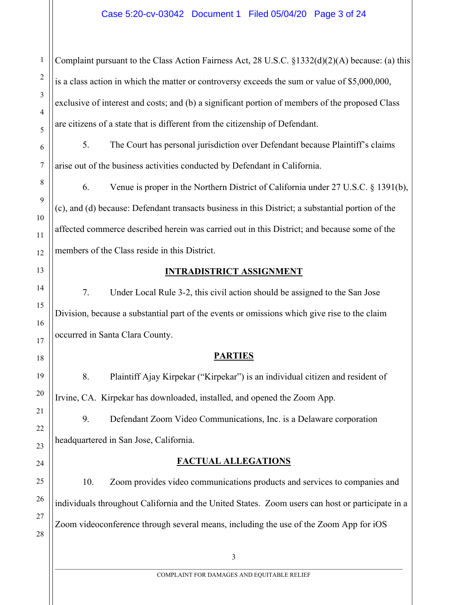Complaint pursuant to the Class Action Fairness Act, 28 U.S.C. §1332(d)(2)(A) because: (a) this is a class action in which the matter or controversy exceeds the sum or value of \$5,000,000, exclusive of interest and costs; and (b) a significant portion of members of the proposed Class are citizens of a state that is different from the citizenship of Defendant.

5. The Court has personal jurisdiction over Defendant because Plaintiff's claims arise out of the business activities conducted by Defendant in California.

6. Venue is proper in the Northern District of California under 27 U.S.C. § 1391(b), (c), and (d) because: Defendant transacts business in this District; a substantial portion of the affected commerce described herein was carried out in this District; and because some of the members of the Class reside in this District.

#### 13

1

2

3

4

5

6

7

8

9

10

11

12

14

15

16

17

18

19

20

21

22

23

24

25

26

27

28

#### **INTRADISTRICT ASSIGNMENT**

7. Under Local Rule 3-2, this civil action should be assigned to the San Jose Division, because a substantial part of the events or omissions which give rise to the claim occurred in Santa Clara County.

#### **PARTIES**

8. Plaintiff Ajay Kirpekar ("Kirpekar") is an individual citizen and resident of Irvine, CA. Kirpekar has downloaded, installed, and opened the Zoom App.

9. Defendant Zoom Video Communications, Inc. is a Delaware corporation headquartered in San Jose, California.

## **FACTUAL ALLEGATIONS**

10. Zoom provides video communications products and services to companies and individuals throughout California and the United States. Zoom users can host or participate in a Zoom videoconference through several means, including the use of the Zoom App for iOS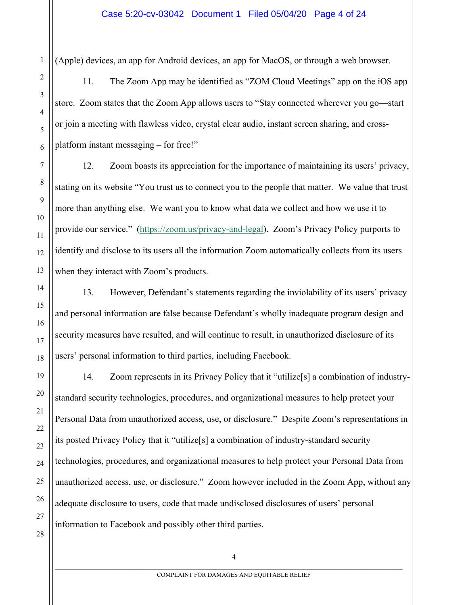(Apple) devices, an app for Android devices, an app for MacOS, or through a web browser.

11. The Zoom App may be identified as "ZOM Cloud Meetings" app on the iOS app store. Zoom states that the Zoom App allows users to "Stay connected wherever you go—start or join a meeting with flawless video, crystal clear audio, instant screen sharing, and crossplatform instant messaging – for free!"

12. Zoom boasts its appreciation for the importance of maintaining its users' privacy, stating on its website "You trust us to connect you to the people that matter. We value that trust more than anything else. We want you to know what data we collect and how we use it to provide our service." (https://zoom.us/privacy-and-legal). Zoom's Privacy Policy purports to identify and disclose to its users all the information Zoom automatically collects from its users when they interact with Zoom's products.

13. However, Defendant's statements regarding the inviolability of its users' privacy and personal information are false because Defendant's wholly inadequate program design and security measures have resulted, and will continue to result, in unauthorized disclosure of its users' personal information to third parties, including Facebook.

14. Zoom represents in its Privacy Policy that it "utilize[s] a combination of industrystandard security technologies, procedures, and organizational measures to help protect your Personal Data from unauthorized access, use, or disclosure." Despite Zoom's representations in its posted Privacy Policy that it "utilize[s] a combination of industry-standard security technologies, procedures, and organizational measures to help protect your Personal Data from unauthorized access, use, or disclosure." Zoom however included in the Zoom App, without any adequate disclosure to users, code that made undisclosed disclosures of users' personal information to Facebook and possibly other third parties.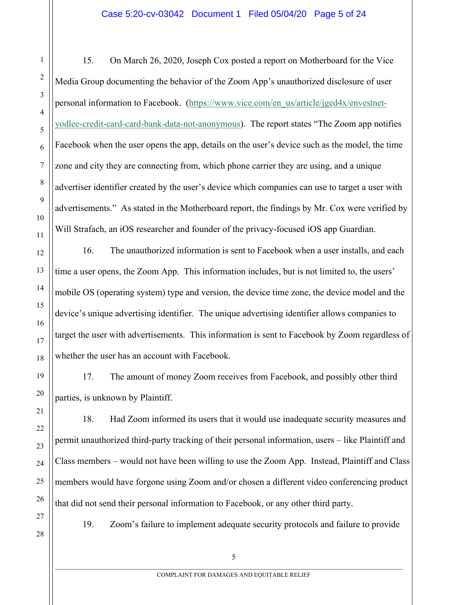15. On March 26, 2020, Joseph Cox posted a report on Motherboard for the Vice Media Group documenting the behavior of the Zoom App's unauthorized disclosure of user personal information to Facebook. (https://www.vice.com/en\_us/article/jged4x/envestnetyodlee-credit-card-card-bank-data-not-anonymous). The report states "The Zoom app notifies Facebook when the user opens the app, details on the user's device such as the model, the time zone and city they are connecting from, which phone carrier they are using, and a unique advertiser identifier created by the user's device which companies can use to target a user with advertisements." As stated in the Motherboard report, the findings by Mr. Cox were verified by Will Strafach, an iOS researcher and founder of the privacy-focused iOS app Guardian.

16. The unauthorized information is sent to Facebook when a user installs, and each time a user opens, the Zoom App. This information includes, but is not limited to, the users' mobile OS (operating system) type and version, the device time zone, the device model and the device's unique advertising identifier. The unique advertising identifier allows companies to target the user with advertisements. This information is sent to Facebook by Zoom regardless of whether the user has an account with Facebook.

17. The amount of money Zoom receives from Facebook, and possibly other third parties, is unknown by Plaintiff.

18. Had Zoom informed its users that it would use inadequate security measures and permit unauthorized third-party tracking of their personal information, users – like Plaintiff and Class members – would not have been willing to use the Zoom App. Instead, Plaintiff and Class members would have forgone using Zoom and/or chosen a different video conferencing product that did not send their personal information to Facebook, or any other third party.

27 28

1

2

3

4

5

6

7

8

9

10

11

12

13

14

15

16

17

18

19

20

21

22

23

24

25

26

19. Zoom's failure to implement adequate security protocols and failure to provide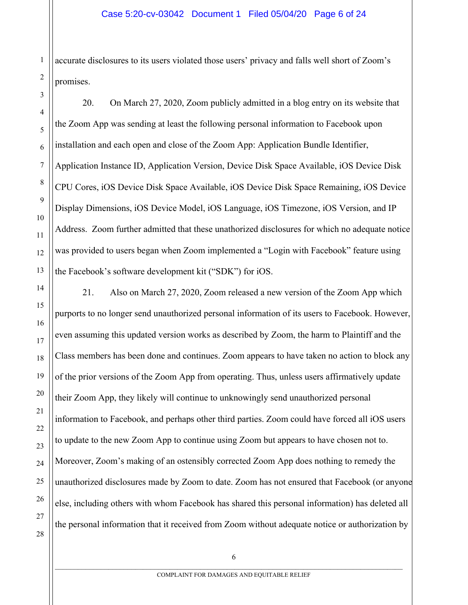accurate disclosures to its users violated those users' privacy and falls well short of Zoom's promises.

20. On March 27, 2020, Zoom publicly admitted in a blog entry on its website that the Zoom App was sending at least the following personal information to Facebook upon installation and each open and close of the Zoom App: Application Bundle Identifier, Application Instance ID, Application Version, Device Disk Space Available, iOS Device Disk CPU Cores, iOS Device Disk Space Available, iOS Device Disk Space Remaining, iOS Device Display Dimensions, iOS Device Model, iOS Language, iOS Timezone, iOS Version, and IP Address. Zoom further admitted that these unathorized disclosures for which no adequate notice was provided to users began when Zoom implemented a "Login with Facebook" feature using the Facebook's software development kit ("SDK") for iOS.

21. Also on March 27, 2020, Zoom released a new version of the Zoom App which purports to no longer send unauthorized personal information of its users to Facebook. However, even assuming this updated version works as described by Zoom, the harm to Plaintiff and the Class members has been done and continues. Zoom appears to have taken no action to block any of the prior versions of the Zoom App from operating. Thus, unless users affirmatively update their Zoom App, they likely will continue to unknowingly send unauthorized personal information to Facebook, and perhaps other third parties. Zoom could have forced all iOS users to update to the new Zoom App to continue using Zoom but appears to have chosen not to. Moreover, Zoom's making of an ostensibly corrected Zoom App does nothing to remedy the unauthorized disclosures made by Zoom to date. Zoom has not ensured that Facebook (or anyone else, including others with whom Facebook has shared this personal information) has deleted all the personal information that it received from Zoom without adequate notice or authorization by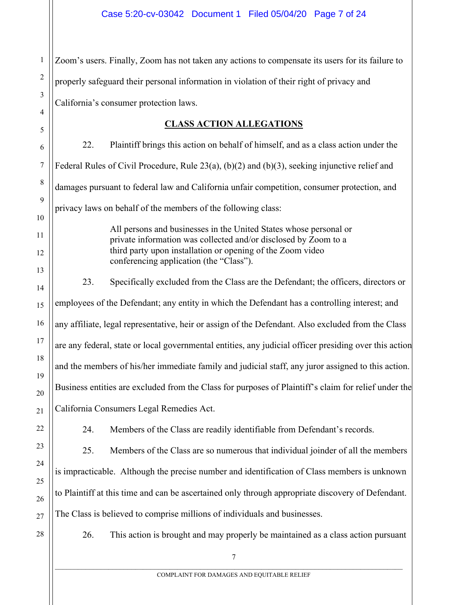1 2 3 4 Zoom's users. Finally, Zoom has not taken any actions to compensate its users for its failure to properly safeguard their personal information in violation of their right of privacy and California's consumer protection laws.

## **CLASS ACTION ALLEGATIONS**

22. Plaintiff brings this action on behalf of himself, and as a class action under the Federal Rules of Civil Procedure, Rule 23(a), (b)(2) and (b)(3), seeking injunctive relief and damages pursuant to federal law and California unfair competition, consumer protection, and privacy laws on behalf of the members of the following class:

> All persons and businesses in the United States whose personal or private information was collected and/or disclosed by Zoom to a third party upon installation or opening of the Zoom video conferencing application (the "Class").

23. Specifically excluded from the Class are the Defendant; the officers, directors or employees of the Defendant; any entity in which the Defendant has a controlling interest; and any affiliate, legal representative, heir or assign of the Defendant. Also excluded from the Class are any federal, state or local governmental entities, any judicial officer presiding over this action and the members of his/her immediate family and judicial staff, any juror assigned to this action. Business entities are excluded from the Class for purposes of Plaintiff's claim for relief under the California Consumers Legal Remedies Act.

24. Members of the Class are readily identifiable from Defendant's records.

25. Members of the Class are so numerous that individual joinder of all the members is impracticable. Although the precise number and identification of Class members is unknown to Plaintiff at this time and can be ascertained only through appropriate discovery of Defendant. The Class is believed to comprise millions of individuals and businesses.

28

5

6

7

8

9

10

11

12

13

14

15

16

17

18

19

20

21

22

23

24

25

26

27

26. This action is brought and may properly be maintained as a class action pursuant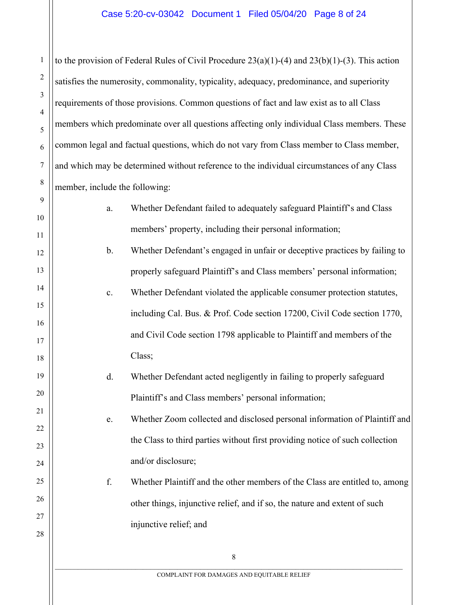to the provision of Federal Rules of Civil Procedure  $23(a)(1)-(4)$  and  $23(b)(1)-(3)$ . This action satisfies the numerosity, commonality, typicality, adequacy, predominance, and superiority requirements of those provisions. Common questions of fact and law exist as to all Class members which predominate over all questions affecting only individual Class members. These common legal and factual questions, which do not vary from Class member to Class member, and which may be determined without reference to the individual circumstances of any Class member, include the following:

1

2

3

4

5

6

7

8

9

10

11

12

13

14

15

16

17

18

19

20

21

22

23

24

25

26

27

28

- a. Whether Defendant failed to adequately safeguard Plaintiff's and Class members' property, including their personal information; b. Whether Defendant's engaged in unfair or deceptive practices by failing to properly safeguard Plaintiff's and Class members' personal information; c. Whether Defendant violated the applicable consumer protection statutes, including Cal. Bus. & Prof. Code section 17200, Civil Code section 1770, and Civil Code section 1798 applicable to Plaintiff and members of the Class;
	- d. Whether Defendant acted negligently in failing to properly safeguard Plaintiff's and Class members' personal information;

# e. Whether Zoom collected and disclosed personal information of Plaintiff and the Class to third parties without first providing notice of such collection and/or disclosure;

f. Whether Plaintiff and the other members of the Class are entitled to, among other things, injunctive relief, and if so, the nature and extent of such injunctive relief; and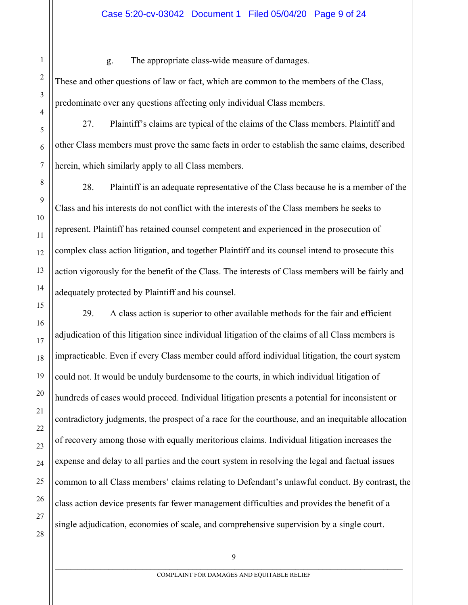g. The appropriate class-wide measure of damages.

These and other questions of law or fact, which are common to the members of the Class, predominate over any questions affecting only individual Class members.

27. Plaintiff's claims are typical of the claims of the Class members. Plaintiff and other Class members must prove the same facts in order to establish the same claims, described herein, which similarly apply to all Class members.

28. Plaintiff is an adequate representative of the Class because he is a member of the Class and his interests do not conflict with the interests of the Class members he seeks to represent. Plaintiff has retained counsel competent and experienced in the prosecution of complex class action litigation, and together Plaintiff and its counsel intend to prosecute this action vigorously for the benefit of the Class. The interests of Class members will be fairly and adequately protected by Plaintiff and his counsel.

29. A class action is superior to other available methods for the fair and efficient adjudication of this litigation since individual litigation of the claims of all Class members is impracticable. Even if every Class member could afford individual litigation, the court system could not. It would be unduly burdensome to the courts, in which individual litigation of hundreds of cases would proceed. Individual litigation presents a potential for inconsistent or contradictory judgments, the prospect of a race for the courthouse, and an inequitable allocation of recovery among those with equally meritorious claims. Individual litigation increases the expense and delay to all parties and the court system in resolving the legal and factual issues common to all Class members' claims relating to Defendant's unlawful conduct. By contrast, the class action device presents far fewer management difficulties and provides the benefit of a single adjudication, economies of scale, and comprehensive supervision by a single court.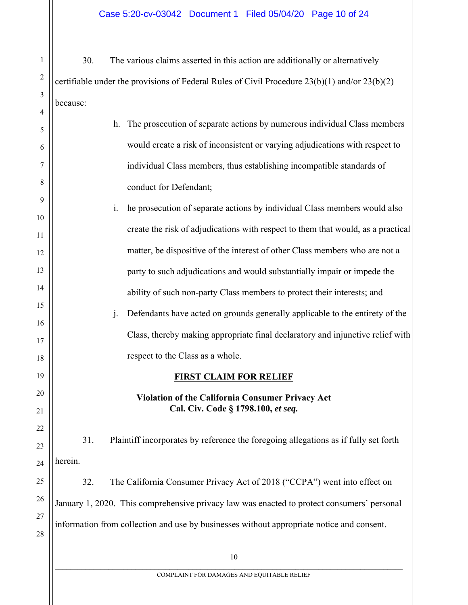30. The various claims asserted in this action are additionally or alternatively certifiable under the provisions of Federal Rules of Civil Procedure 23(b)(1) and/or 23(b)(2) because:

1

2

3

4

5

6

7

8

9

10

11

12

13

14

15

16

17

18

19

20

21

22

23

24

25

26

27

28

| h. The prosecution of separate actions by numerous individual Class members  |  |  |  |  |  |
|------------------------------------------------------------------------------|--|--|--|--|--|
| would create a risk of inconsistent or varying adjudications with respect to |  |  |  |  |  |
| individual Class members, thus establishing incompatible standards of        |  |  |  |  |  |
| conduct for Defendant;                                                       |  |  |  |  |  |

i. he prosecution of separate actions by individual Class members would also create the risk of adjudications with respect to them that would, as a practical matter, be dispositive of the interest of other Class members who are not a party to such adjudications and would substantially impair or impede the ability of such non-party Class members to protect their interests; and j. Defendants have acted on grounds generally applicable to the entirety of the Class, thereby making appropriate final declaratory and injunctive relief with

## **FIRST CLAIM FOR RELIEF**

respect to the Class as a whole.

## **Violation of the California Consumer Privacy Act Cal. Civ. Code § 1798.100,** *et seq.*

31. Plaintiff incorporates by reference the foregoing allegations as if fully set forth herein.

32. The California Consumer Privacy Act of 2018 ("CCPA") went into effect on January 1, 2020. This comprehensive privacy law was enacted to protect consumers' personal information from collection and use by businesses without appropriate notice and consent.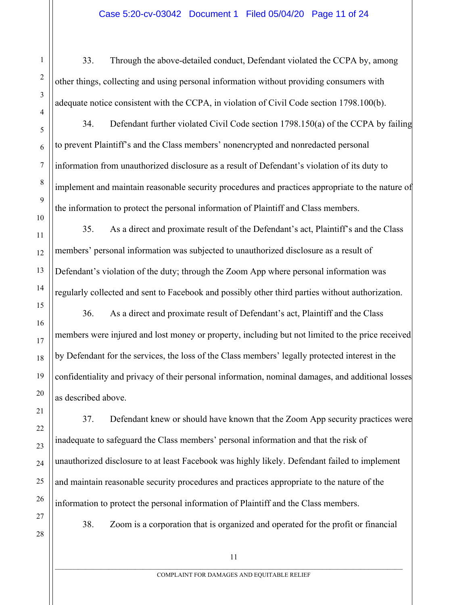33. Through the above-detailed conduct, Defendant violated the CCPA by, among other things, collecting and using personal information without providing consumers with adequate notice consistent with the CCPA, in violation of Civil Code section 1798.100(b).

34. Defendant further violated Civil Code section 1798.150(a) of the CCPA by failing to prevent Plaintiff's and the Class members' nonencrypted and nonredacted personal information from unauthorized disclosure as a result of Defendant's violation of its duty to implement and maintain reasonable security procedures and practices appropriate to the nature of the information to protect the personal information of Plaintiff and Class members.

35. As a direct and proximate result of the Defendant's act, Plaintiff's and the Class members' personal information was subjected to unauthorized disclosure as a result of Defendant's violation of the duty; through the Zoom App where personal information was regularly collected and sent to Facebook and possibly other third parties without authorization.

36. As a direct and proximate result of Defendant's act, Plaintiff and the Class members were injured and lost money or property, including but not limited to the price received by Defendant for the services, the loss of the Class members' legally protected interest in the confidentiality and privacy of their personal information, nominal damages, and additional losses as described above.

37. Defendant knew or should have known that the Zoom App security practices were inadequate to safeguard the Class members' personal information and that the risk of unauthorized disclosure to at least Facebook was highly likely. Defendant failed to implement and maintain reasonable security procedures and practices appropriate to the nature of the information to protect the personal information of Plaintiff and the Class members.

27 28

1

2

3

4

5

6

7

8

9

10

11

12

13

14

15

16

17

18

19

20

21

22

23

24

25

26

38. Zoom is a corporation that is organized and operated for the profit or financial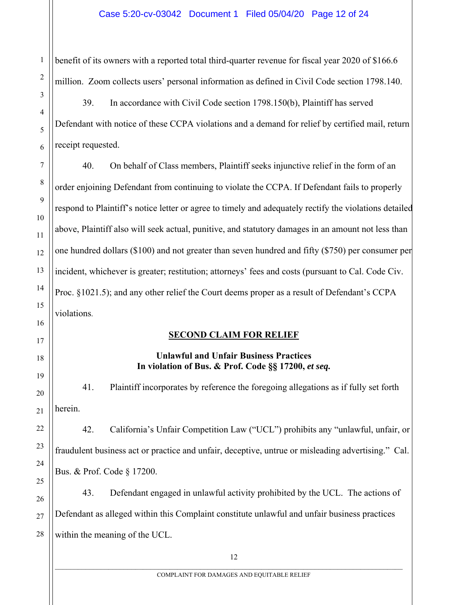benefit of its owners with a reported total third-quarter revenue for fiscal year 2020 of \$166.6 million. Zoom collects users' personal information as defined in Civil Code section 1798.140.

39. In accordance with Civil Code section 1798.150(b), Plaintiff has served Defendant with notice of these CCPA violations and a demand for relief by certified mail, return receipt requested.

40. On behalf of Class members, Plaintiff seeks injunctive relief in the form of an order enjoining Defendant from continuing to violate the CCPA. If Defendant fails to properly respond to Plaintiff's notice letter or agree to timely and adequately rectify the violations detailed above, Plaintiff also will seek actual, punitive, and statutory damages in an amount not less than one hundred dollars (\$100) and not greater than seven hundred and fifty (\$750) per consumer per incident, whichever is greater; restitution; attorneys' fees and costs (pursuant to Cal. Code Civ. Proc. §1021.5); and any other relief the Court deems proper as a result of Defendant's CCPA violations.

# **SECOND CLAIM FOR RELIEF**

# **Unlawful and Unfair Business Practices In violation of Bus. & Prof. Code §§ 17200,** *et seq.*

41. Plaintiff incorporates by reference the foregoing allegations as if fully set forth herein.

42. California's Unfair Competition Law ("UCL") prohibits any "unlawful, unfair, or fraudulent business act or practice and unfair, deceptive, untrue or misleading advertising." Cal. Bus. & Prof. Code § 17200.

43. Defendant engaged in unlawful activity prohibited by the UCL. The actions of Defendant as alleged within this Complaint constitute unlawful and unfair business practices within the meaning of the UCL.

1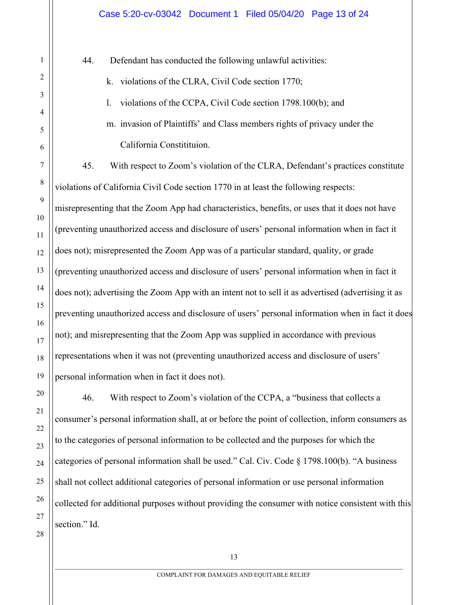44. Defendant has conducted the following unlawful activities:

k. violations of the CLRA, Civil Code section 1770;

1

2

3

4

5

6

7

8

9

10

11

12

13

14

15

16

17

18

19

20

21

22

23

24

25

26

27

28

l. violations of the CCPA, Civil Code section 1798.100(b); and

m. invasion of Plaintiffs' and Class members rights of privacy under the California Constitituion.

45. With respect to Zoom's violation of the CLRA, Defendant's practices constitute violations of California Civil Code section 1770 in at least the following respects: misrepresenting that the Zoom App had characteristics, benefits, or uses that it does not have (preventing unauthorized access and disclosure of users' personal information when in fact it does not); misrepresented the Zoom App was of a particular standard, quality, or grade (preventing unauthorized access and disclosure of users' personal information when in fact it does not); advertising the Zoom App with an intent not to sell it as advertised (advertising it as preventing unauthorized access and disclosure of users' personal information when in fact it does not); and misrepresenting that the Zoom App was supplied in accordance with previous representations when it was not (preventing unauthorized access and disclosure of users' personal information when in fact it does not).

46. With respect to Zoom's violation of the CCPA, a "business that collects a consumer's personal information shall, at or before the point of collection, inform consumers as to the categories of personal information to be collected and the purposes for which the categories of personal information shall be used." Cal. Civ. Code § 1798.100(b). "A business shall not collect additional categories of personal information or use personal information collected for additional purposes without providing the consumer with notice consistent with this section." Id.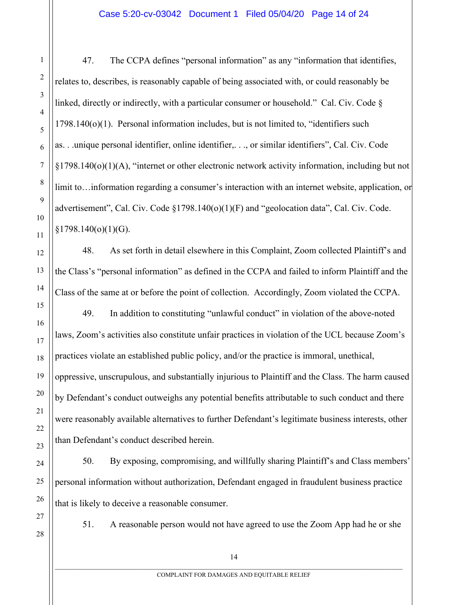47. The CCPA defines "personal information" as any "information that identifies, relates to, describes, is reasonably capable of being associated with, or could reasonably be linked, directly or indirectly, with a particular consumer or household." Cal. Civ. Code § 1798.140(o)(1). Personal information includes, but is not limited to, "identifiers such as. . .unique personal identifier, online identifier,. . ., or similar identifiers", Cal. Civ. Code §1798.140(o)(1)(A), "internet or other electronic network activity information, including but not limit to…information regarding a consumer's interaction with an internet website, application, or advertisement", Cal. Civ. Code §1798.140(o)(1)(F) and "geolocation data", Cal. Civ. Code.  $§1798.140(o)(1)(G).$ 

48. As set forth in detail elsewhere in this Complaint, Zoom collected Plaintiff's and the Class's "personal information" as defined in the CCPA and failed to inform Plaintiff and the Class of the same at or before the point of collection. Accordingly, Zoom violated the CCPA.

49. In addition to constituting "unlawful conduct" in violation of the above-noted laws, Zoom's activities also constitute unfair practices in violation of the UCL because Zoom's practices violate an established public policy, and/or the practice is immoral, unethical, oppressive, unscrupulous, and substantially injurious to Plaintiff and the Class. The harm caused by Defendant's conduct outweighs any potential benefits attributable to such conduct and there were reasonably available alternatives to further Defendant's legitimate business interests, other than Defendant's conduct described herein.

50. By exposing, compromising, and willfully sharing Plaintiff's and Class members' personal information without authorization, Defendant engaged in fraudulent business practice that is likely to deceive a reasonable consumer.

27 28

1

2

3

4

5

6

7

8

9

10

11

12

13

14

15

16

17

18

19

20

21

22

23

24

25

26

51. A reasonable person would not have agreed to use the Zoom App had he or she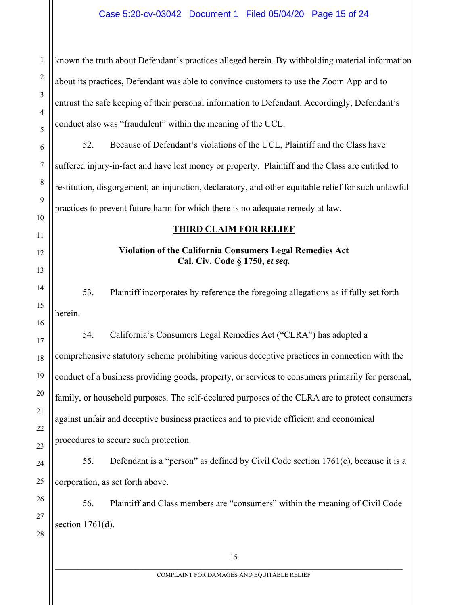known the truth about Defendant's practices alleged herein. By withholding material information about its practices, Defendant was able to convince customers to use the Zoom App and to entrust the safe keeping of their personal information to Defendant. Accordingly, Defendant's conduct also was "fraudulent" within the meaning of the UCL.

52. Because of Defendant's violations of the UCL, Plaintiff and the Class have suffered injury-in-fact and have lost money or property. Plaintiff and the Class are entitled to restitution, disgorgement, an injunction, declaratory, and other equitable relief for such unlawful practices to prevent future harm for which there is no adequate remedy at law.

#### **THIRD CLAIM FOR RELIEF**

## **Violation of the California Consumers Legal Remedies Act Cal. Civ. Code § 1750,** *et seq.*

53. Plaintiff incorporates by reference the foregoing allegations as if fully set forth herein.

54. California's Consumers Legal Remedies Act ("CLRA") has adopted a comprehensive statutory scheme prohibiting various deceptive practices in connection with the conduct of a business providing goods, property, or services to consumers primarily for personal, family, or household purposes. The self-declared purposes of the CLRA are to protect consumers against unfair and deceptive business practices and to provide efficient and economical procedures to secure such protection.

55. Defendant is a "person" as defined by Civil Code section 1761(c), because it is a corporation, as set forth above.

56. Plaintiff and Class members are "consumers" within the meaning of Civil Code section  $1761(d)$ .

1

2

3

4

5

6

7

8

9

10

11

12

13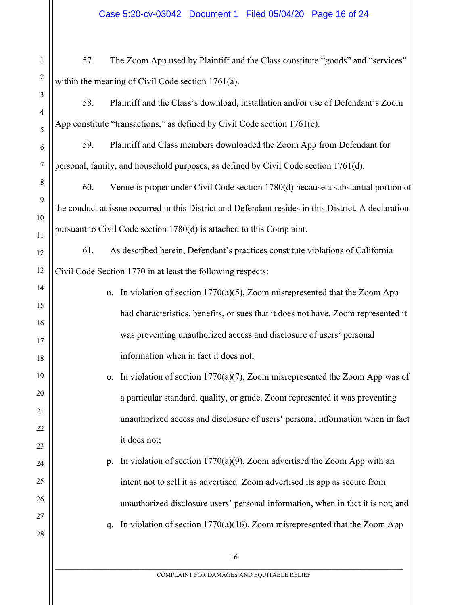1 2 3 57. The Zoom App used by Plaintiff and the Class constitute "goods" and "services" within the meaning of Civil Code section 1761(a).

58. Plaintiff and the Class's download, installation and/or use of Defendant's Zoom App constitute "transactions," as defined by Civil Code section 1761(e).

4

5

6

7

8

9

10

11

12

13

14

15

16

17

18

19

20

21

22

23

24

25

26

27

28

59. Plaintiff and Class members downloaded the Zoom App from Defendant for personal, family, and household purposes, as defined by Civil Code section 1761(d).

60. Venue is proper under Civil Code section 1780(d) because a substantial portion of the conduct at issue occurred in this District and Defendant resides in this District. A declaration pursuant to Civil Code section 1780(d) is attached to this Complaint.

61. As described herein, Defendant's practices constitute violations of California Civil Code Section 1770 in at least the following respects:

- n. In violation of section  $1770(a)(5)$ , Zoom misrepresented that the Zoom App had characteristics, benefits, or sues that it does not have. Zoom represented it was preventing unauthorized access and disclosure of users' personal information when in fact it does not;
	- o. In violation of section  $1770(a)(7)$ , Zoom misrepresented the Zoom App was of a particular standard, quality, or grade. Zoom represented it was preventing unauthorized access and disclosure of users' personal information when in fact it does not;

p. In violation of section 1770(a)(9), Zoom advertised the Zoom App with an intent not to sell it as advertised. Zoom advertised its app as secure from unauthorized disclosure users' personal information, when in fact it is not; and q. In violation of section  $1770(a)(16)$ , Zoom misrepresented that the Zoom App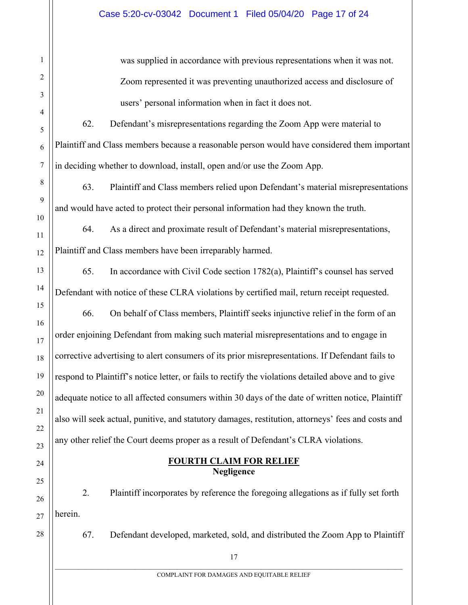was supplied in accordance with previous representations when it was not. Zoom represented it was preventing unauthorized access and disclosure of users' personal information when in fact it does not.

62. Defendant's misrepresentations regarding the Zoom App were material to Plaintiff and Class members because a reasonable person would have considered them important in deciding whether to download, install, open and/or use the Zoom App.

63. Plaintiff and Class members relied upon Defendant's material misrepresentations and would have acted to protect their personal information had they known the truth.

64. As a direct and proximate result of Defendant's material misrepresentations, Plaintiff and Class members have been irreparably harmed.

65. In accordance with Civil Code section 1782(a), Plaintiff's counsel has served Defendant with notice of these CLRA violations by certified mail, return receipt requested.

66. On behalf of Class members, Plaintiff seeks injunctive relief in the form of an order enjoining Defendant from making such material misrepresentations and to engage in corrective advertising to alert consumers of its prior misrepresentations. If Defendant fails to respond to Plaintiff's notice letter, or fails to rectify the violations detailed above and to give adequate notice to all affected consumers within 30 days of the date of written notice, Plaintiff also will seek actual, punitive, and statutory damages, restitution, attorneys' fees and costs and any other relief the Court deems proper as a result of Defendant's CLRA violations.

> **FOURTH CLAIM FOR RELIEF Negligence**

2. Plaintiff incorporates by reference the foregoing allegations as if fully set forth herein.

67. Defendant developed, marketed, sold, and distributed the Zoom App to Plaintiff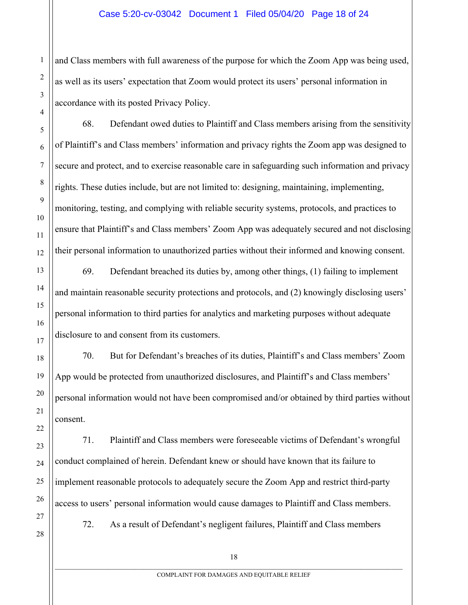and Class members with full awareness of the purpose for which the Zoom App was being used, as well as its users' expectation that Zoom would protect its users' personal information in accordance with its posted Privacy Policy.

68. Defendant owed duties to Plaintiff and Class members arising from the sensitivity of Plaintiff's and Class members' information and privacy rights the Zoom app was designed to secure and protect, and to exercise reasonable care in safeguarding such information and privacy rights. These duties include, but are not limited to: designing, maintaining, implementing, monitoring, testing, and complying with reliable security systems, protocols, and practices to ensure that Plaintiff's and Class members' Zoom App was adequately secured and not disclosing their personal information to unauthorized parties without their informed and knowing consent.

69. Defendant breached its duties by, among other things, (1) failing to implement and maintain reasonable security protections and protocols, and (2) knowingly disclosing users' personal information to third parties for analytics and marketing purposes without adequate disclosure to and consent from its customers.

70. But for Defendant's breaches of its duties, Plaintiff's and Class members' Zoom App would be protected from unauthorized disclosures, and Plaintiff's and Class members' personal information would not have been compromised and/or obtained by third parties without consent.

71. Plaintiff and Class members were foreseeable victims of Defendant's wrongful conduct complained of herein. Defendant knew or should have known that its failure to implement reasonable protocols to adequately secure the Zoom App and restrict third-party access to users' personal information would cause damages to Plaintiff and Class members.

27 28

1

2

3

4

5

6

7

8

9

10

11

12

13

14

15

16

17

18

19

20

21

22

23

24

25

26

72. As a result of Defendant's negligent failures, Plaintiff and Class members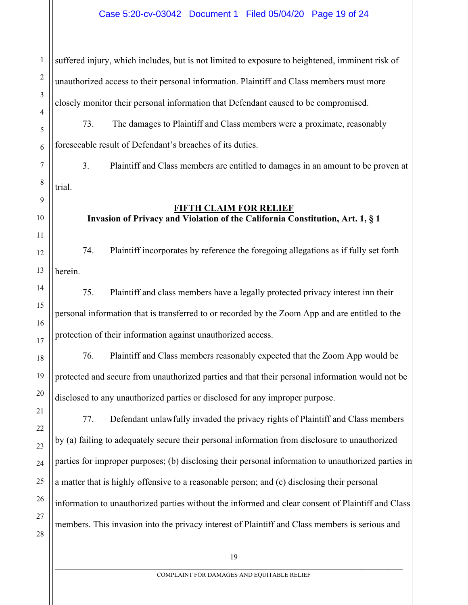#### Case 5:20-cv-03042 Document 1 Filed 05/04/20 Page 19 of 24

suffered injury, which includes, but is not limited to exposure to heightened, imminent risk of unauthorized access to their personal information. Plaintiff and Class members must more closely monitor their personal information that Defendant caused to be compromised.

73. The damages to Plaintiff and Class members were a proximate, reasonably foreseeable result of Defendant's breaches of its duties.

3. Plaintiff and Class members are entitled to damages in an amount to be proven at trial.

1

2

3

4

5

6

7

8

9

10

11

12

13

14

15

16

17

18

19

20

## **FIFTH CLAIM FOR RELIEF**

**Invasion of Privacy and Violation of the California Constitution, Art. 1, § 1**

74. Plaintiff incorporates by reference the foregoing allegations as if fully set forth herein.

75. Plaintiff and class members have a legally protected privacy interest inn their personal information that is transferred to or recorded by the Zoom App and are entitled to the protection of their information against unauthorized access.

76. Plaintiff and Class members reasonably expected that the Zoom App would be protected and secure from unauthorized parties and that their personal information would not be disclosed to any unauthorized parties or disclosed for any improper purpose.

77. Defendant unlawfully invaded the privacy rights of Plaintiff and Class members by (a) failing to adequately secure their personal information from disclosure to unauthorized parties for improper purposes; (b) disclosing their personal information to unauthorized parties in a matter that is highly offensive to a reasonable person; and (c) disclosing their personal information to unauthorized parties without the informed and clear consent of Plaintiff and Class members. This invasion into the privacy interest of Plaintiff and Class members is serious and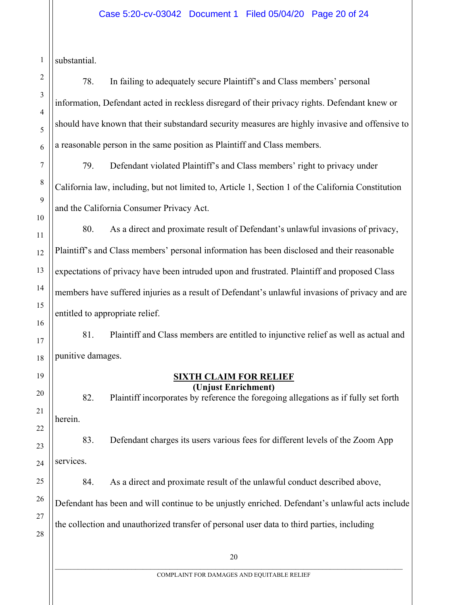#### Case 5:20-cv-03042 Document 1 Filed 05/04/20 Page 20 of 24

substantial.

1

78. In failing to adequately secure Plaintiff's and Class members' personal information, Defendant acted in reckless disregard of their privacy rights. Defendant knew or should have known that their substandard security measures are highly invasive and offensive to a reasonable person in the same position as Plaintiff and Class members.

79. Defendant violated Plaintiff's and Class members' right to privacy under California law, including, but not limited to, Article 1, Section 1 of the California Constitution and the California Consumer Privacy Act.

80. As a direct and proximate result of Defendant's unlawful invasions of privacy, Plaintiff's and Class members' personal information has been disclosed and their reasonable expectations of privacy have been intruded upon and frustrated. Plaintiff and proposed Class members have suffered injuries as a result of Defendant's unlawful invasions of privacy and are entitled to appropriate relief.

81. Plaintiff and Class members are entitled to injunctive relief as well as actual and punitive damages.

#### **SIXTH CLAIM FOR RELIEF (Unjust Enrichment)**

82. Plaintiff incorporates by reference the foregoing allegations as if fully set forth herein.

83. Defendant charges its users various fees for different levels of the Zoom App services.

84. As a direct and proximate result of the unlawful conduct described above, Defendant has been and will continue to be unjustly enriched. Defendant's unlawful acts include the collection and unauthorized transfer of personal user data to third parties, including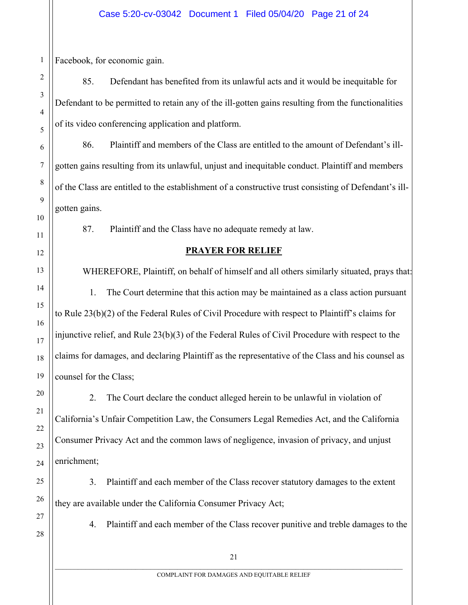Facebook, for economic gain.

85. Defendant has benefited from its unlawful acts and it would be inequitable for Defendant to be permitted to retain any of the ill-gotten gains resulting from the functionalities of its video conferencing application and platform.

86. Plaintiff and members of the Class are entitled to the amount of Defendant's illgotten gains resulting from its unlawful, unjust and inequitable conduct. Plaintiff and members of the Class are entitled to the establishment of a constructive trust consisting of Defendant's illgotten gains.

87. Plaintiff and the Class have no adequate remedy at law.

# **PRAYER FOR RELIEF**

 WHEREFORE, Plaintiff, on behalf of himself and all others similarly situated, prays that: 1. The Court determine that this action may be maintained as a class action pursuant to Rule 23(b)(2) of the Federal Rules of Civil Procedure with respect to Plaintiff's claims for injunctive relief, and Rule 23(b)(3) of the Federal Rules of Civil Procedure with respect to the claims for damages, and declaring Plaintiff as the representative of the Class and his counsel as counsel for the Class;

2. The Court declare the conduct alleged herein to be unlawful in violation of California's Unfair Competition Law, the Consumers Legal Remedies Act, and the California Consumer Privacy Act and the common laws of negligence, invasion of privacy, and unjust enrichment;

3. Plaintiff and each member of the Class recover statutory damages to the extent they are available under the California Consumer Privacy Act;

4. Plaintiff and each member of the Class recover punitive and treble damages to the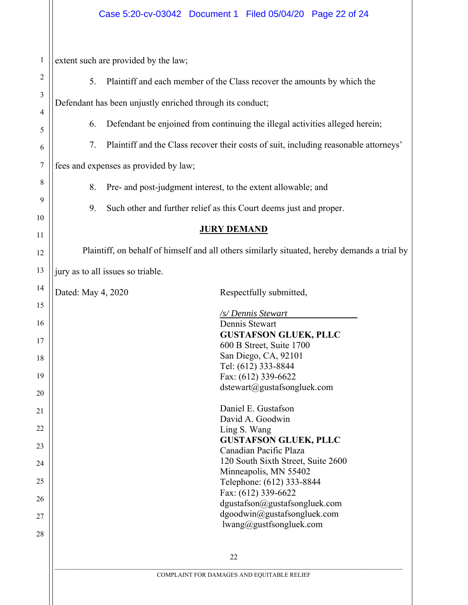|                                            | Case 5:20-cv-03042 Document 1 Filed 05/04/20 Page 22 of 24                                                                                                                                                                                                                                                                                                                                                      |  |  |  |  |  |  |  |  |
|--------------------------------------------|-----------------------------------------------------------------------------------------------------------------------------------------------------------------------------------------------------------------------------------------------------------------------------------------------------------------------------------------------------------------------------------------------------------------|--|--|--|--|--|--|--|--|
| $\mathbf{1}$<br>2<br>3<br>4<br>5<br>6<br>7 | extent such are provided by the law;<br>5.<br>Plaintiff and each member of the Class recover the amounts by which the<br>Defendant has been unjustly enriched through its conduct;<br>Defendant be enjoined from continuing the illegal activities alleged herein;<br>6.<br>Plaintiff and the Class recover their costs of suit, including reasonable attorneys'<br>7.<br>fees and expenses as provided by law; |  |  |  |  |  |  |  |  |
| 8                                          | 8.<br>Pre- and post-judgment interest, to the extent allowable; and                                                                                                                                                                                                                                                                                                                                             |  |  |  |  |  |  |  |  |
| 9                                          |                                                                                                                                                                                                                                                                                                                                                                                                                 |  |  |  |  |  |  |  |  |
| 10                                         | 9.<br>Such other and further relief as this Court deems just and proper.                                                                                                                                                                                                                                                                                                                                        |  |  |  |  |  |  |  |  |
| 11                                         | <b>JURY DEMAND</b>                                                                                                                                                                                                                                                                                                                                                                                              |  |  |  |  |  |  |  |  |
| 12                                         | Plaintiff, on behalf of himself and all others similarly situated, hereby demands a trial by                                                                                                                                                                                                                                                                                                                    |  |  |  |  |  |  |  |  |
| 13                                         | jury as to all issues so triable.                                                                                                                                                                                                                                                                                                                                                                               |  |  |  |  |  |  |  |  |
| 14                                         | Dated: May 4, 2020<br>Respectfully submitted,                                                                                                                                                                                                                                                                                                                                                                   |  |  |  |  |  |  |  |  |
| 15                                         | /s/ Dennis Stewart                                                                                                                                                                                                                                                                                                                                                                                              |  |  |  |  |  |  |  |  |
| 16                                         | Dennis Stewart<br><b>GUSTAFSON GLUEK, PLLC</b>                                                                                                                                                                                                                                                                                                                                                                  |  |  |  |  |  |  |  |  |
| 17                                         | 600 B Street, Suite 1700<br>San Diego, CA, 92101                                                                                                                                                                                                                                                                                                                                                                |  |  |  |  |  |  |  |  |
| 18                                         | Tel: (612) 333-8844                                                                                                                                                                                                                                                                                                                                                                                             |  |  |  |  |  |  |  |  |
| 19<br>20                                   | Fax: (612) 339-6622<br>dstewart@gustafsongluek.com                                                                                                                                                                                                                                                                                                                                                              |  |  |  |  |  |  |  |  |
| 21                                         | Daniel E. Gustafson                                                                                                                                                                                                                                                                                                                                                                                             |  |  |  |  |  |  |  |  |
| 22                                         | David A. Goodwin<br>Ling S. Wang                                                                                                                                                                                                                                                                                                                                                                                |  |  |  |  |  |  |  |  |
| 23                                         | <b>GUSTAFSON GLUEK, PLLC</b>                                                                                                                                                                                                                                                                                                                                                                                    |  |  |  |  |  |  |  |  |
| 24                                         | Canadian Pacific Plaza<br>120 South Sixth Street, Suite 2600                                                                                                                                                                                                                                                                                                                                                    |  |  |  |  |  |  |  |  |
| 25                                         | Minneapolis, MN 55402<br>Telephone: (612) 333-8844                                                                                                                                                                                                                                                                                                                                                              |  |  |  |  |  |  |  |  |
| 26                                         | Fax: (612) 339-6622                                                                                                                                                                                                                                                                                                                                                                                             |  |  |  |  |  |  |  |  |
| 27                                         | dgustafson@gustafsongluek.com<br>dgoodwin@gustafsongluek.com                                                                                                                                                                                                                                                                                                                                                    |  |  |  |  |  |  |  |  |
| 28                                         | lwang@gustfsongluek.com                                                                                                                                                                                                                                                                                                                                                                                         |  |  |  |  |  |  |  |  |
|                                            | 22                                                                                                                                                                                                                                                                                                                                                                                                              |  |  |  |  |  |  |  |  |
|                                            | COMPLAINT FOR DAMAGES AND EQUITABLE RELIEF                                                                                                                                                                                                                                                                                                                                                                      |  |  |  |  |  |  |  |  |
|                                            |                                                                                                                                                                                                                                                                                                                                                                                                                 |  |  |  |  |  |  |  |  |
|                                            |                                                                                                                                                                                                                                                                                                                                                                                                                 |  |  |  |  |  |  |  |  |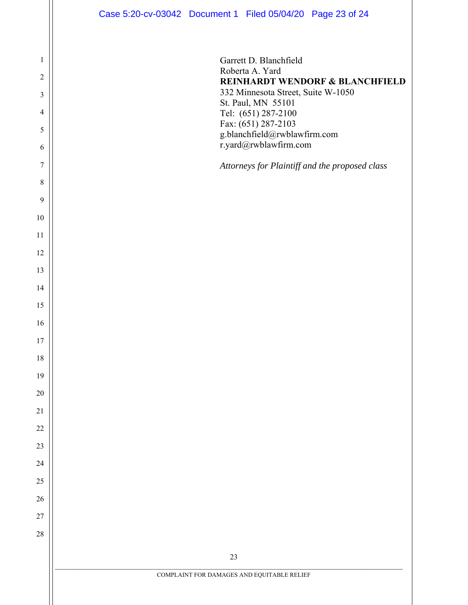|                | Case 5:20-cv-03042 Document 1 Filed 05/04/20 Page 23 of 24    |
|----------------|---------------------------------------------------------------|
|                |                                                               |
| 1              | Garrett D. Blanchfield                                        |
| $\overline{c}$ | Roberta A. Yard<br><b>REINHARDT WENDORF &amp; BLANCHFIELD</b> |
| 3              | 332 Minnesota Street, Suite W-1050<br>St. Paul, MN 55101      |
| 4              | Tel: (651) 287-2100                                           |
| 5              | Fax: (651) 287-2103<br>g.blanchfield@rwblawfirm.com           |
| 6              | r.yard@rwblawfirm.com                                         |
| 7              | Attorneys for Plaintiff and the proposed class                |
| 8              |                                                               |
| $\overline{9}$ |                                                               |
| 10             |                                                               |
| 11             |                                                               |
| 12             |                                                               |
| 13             |                                                               |
| 14             |                                                               |
| 15             |                                                               |
| 16             |                                                               |
| 17             |                                                               |
| 18             |                                                               |
| 19             |                                                               |
| $20\,$         |                                                               |
| $21\,$         |                                                               |
| $22\,$<br>23   |                                                               |
| $24\,$         |                                                               |
| 25             |                                                               |
| $26\,$         |                                                               |
| $27\,$         |                                                               |
| $28\,$         |                                                               |
|                |                                                               |
|                | 23                                                            |
|                | COMPLAINT FOR DAMAGES AND EQUITABLE RELIEF                    |
|                |                                                               |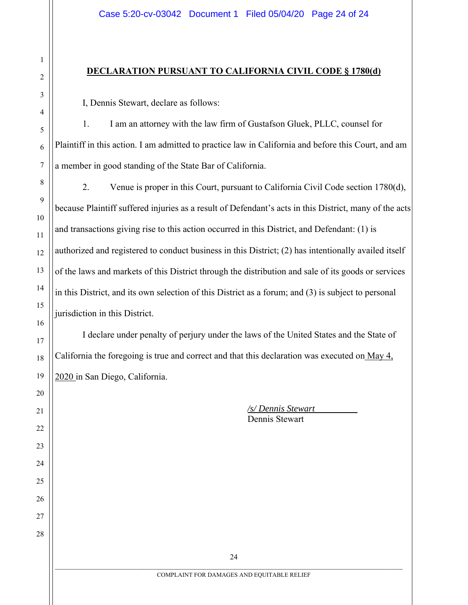#### **DECLARATION PURSUANT TO CALIFORNIA CIVIL CODE § 1780(d)**

I, Dennis Stewart, declare as follows:

1. I am an attorney with the law firm of Gustafson Gluek, PLLC, counsel for Plaintiff in this action. I am admitted to practice law in California and before this Court, and am a member in good standing of the State Bar of California.

2. Venue is proper in this Court, pursuant to California Civil Code section 1780(d), because Plaintiff suffered injuries as a result of Defendant's acts in this District, many of the acts and transactions giving rise to this action occurred in this District, and Defendant: (1) is authorized and registered to conduct business in this District; (2) has intentionally availed itself of the laws and markets of this District through the distribution and sale of its goods or services in this District, and its own selection of this District as a forum; and (3) is subject to personal jurisdiction in this District.

I declare under penalty of perjury under the laws of the United States and the State of California the foregoing is true and correct and that this declaration was executed on May 4, 2020 in San Diego, California.

> */s/ Dennis Stewart*  Dennis Stewart